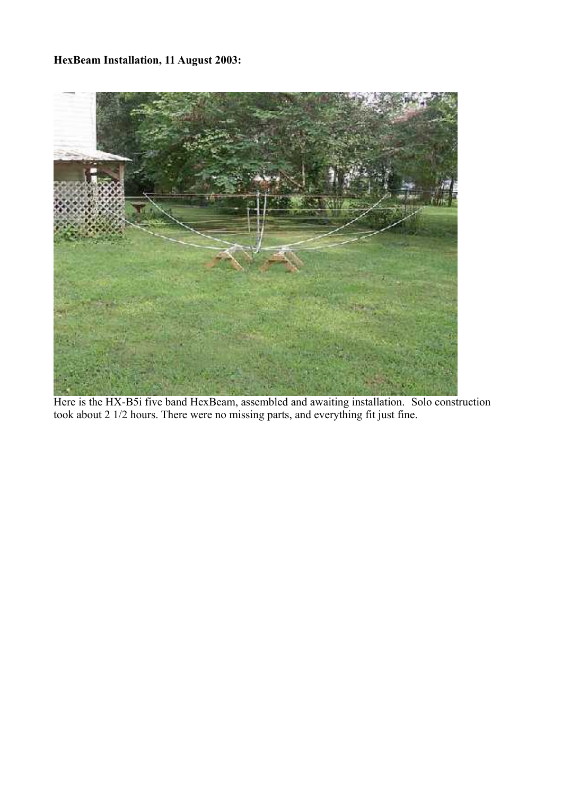## **HexBeam Installation, 11 August 2003:**



Here is the HX-B5i five band HexBeam, assembled and awaiting installation. Solo construction took about 2 1/2 hours. There were no missing parts, and everything fit just fine.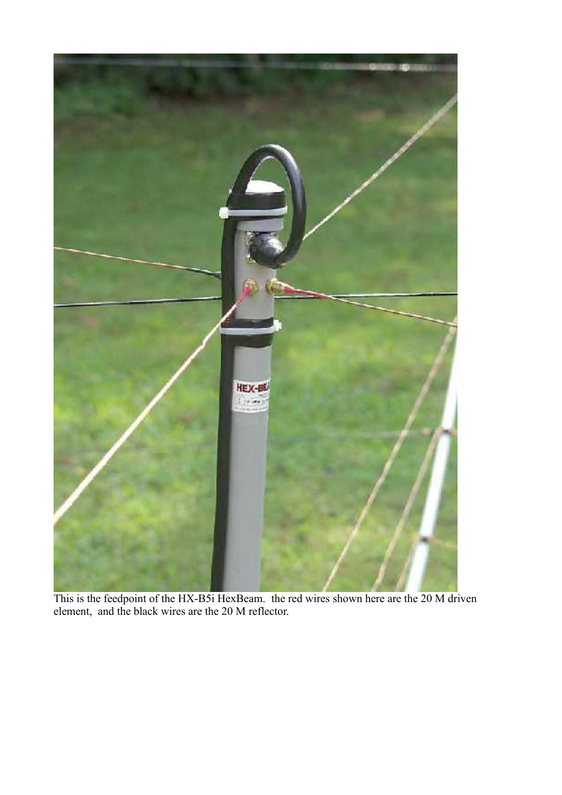

This is the feedpoint of the HX-B5i HexBeam. the red wires shown here are the 20 M driven element, and the black wires are the 20 M reflector.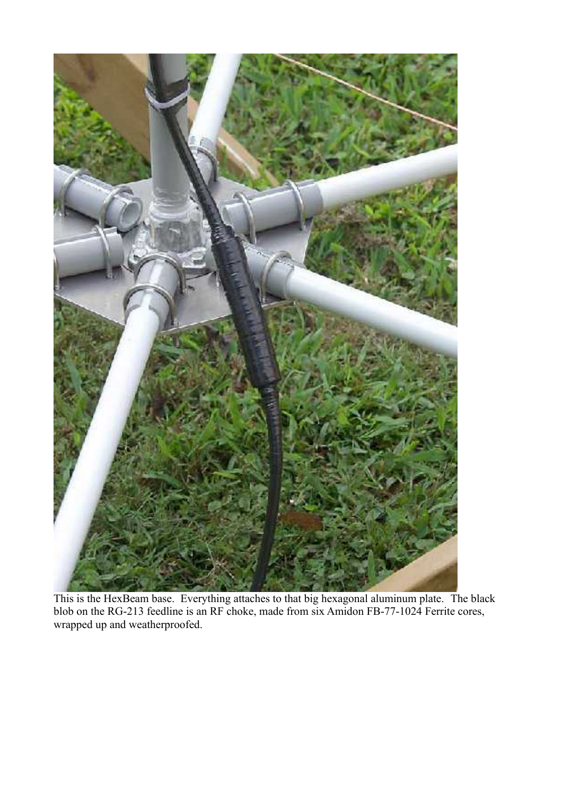

This is the HexBeam base. Everything attaches to that big hexagonal aluminum plate. The black blob on the RG-213 feedline is an RF choke, made from six Amidon FB-77-1024 Ferrite cores, wrapped up and weatherproofed.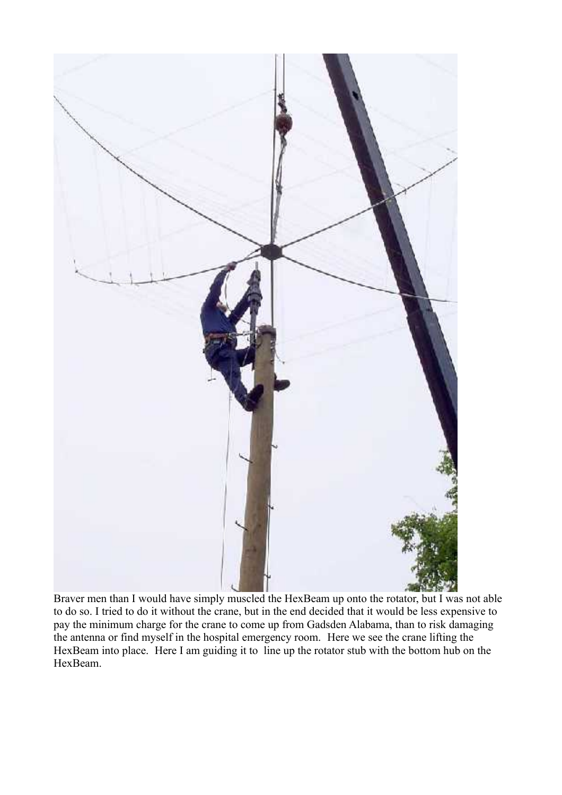

Braver men than I would have simply muscled the HexBeam up onto the rotator, but I was not able to do so. I tried to do it without the crane, but in the end decided that it would be less expensive to pay the minimum charge for the crane to come up from Gadsden Alabama, than to risk damaging the antenna or find myself in the hospital emergency room. Here we see the crane lifting the HexBeam into place. Here I am guiding it to line up the rotator stub with the bottom hub on the HexBeam.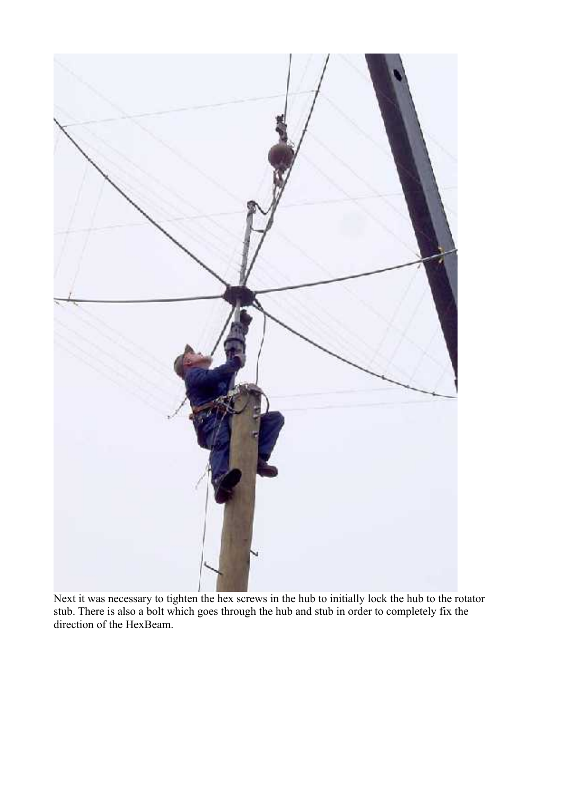

Next it was necessary to tighten the hex screws in the hub to initially lock the hub to the rotator stub. There is also a bolt which goes through the hub and stub in order to completely fix the direction of the HexBeam.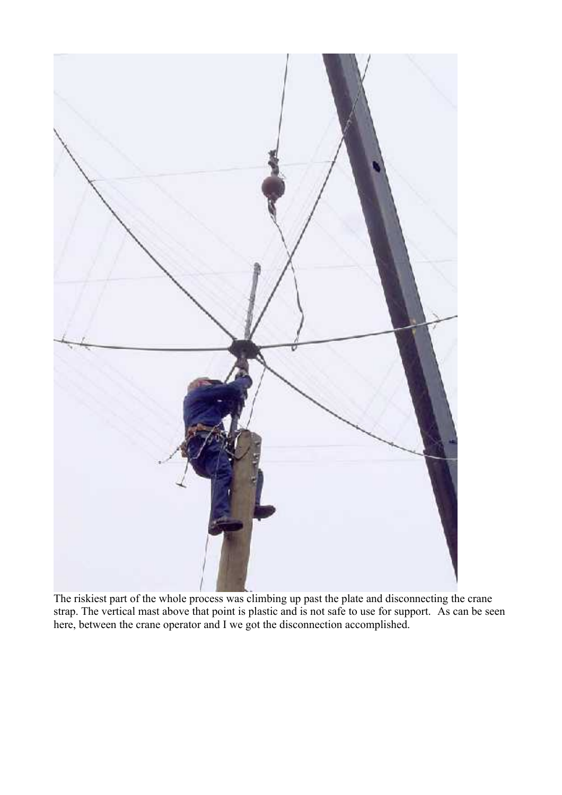

The riskiest part of the whole process was climbing up past the plate and disconnecting the crane strap. The vertical mast above that point is plastic and is not safe to use for support. As can be seen here, between the crane operator and I we got the disconnection accomplished.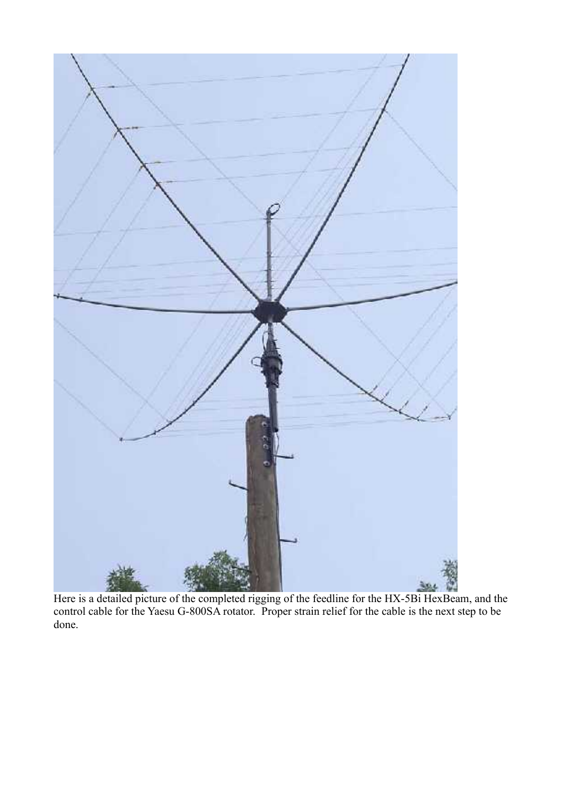

Here is a detailed picture of the completed rigging of the feedline for the HX-5Bi HexBeam, and the control cable for the Yaesu G-800SA rotator. Proper strain relief for the cable is the next step to be done.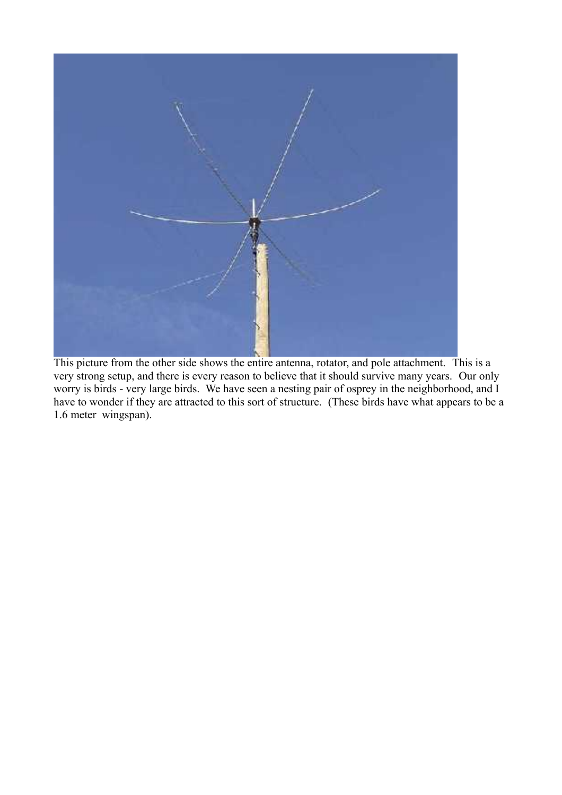

This picture from the other side shows the entire antenna, rotator, and pole attachment. This is a very strong setup, and there is every reason to believe that it should survive many years. Our only worry is birds - very large birds. We have seen a nesting pair of osprey in the neighborhood, and I have to wonder if they are attracted to this sort of structure. (These birds have what appears to be a 1.6 meter wingspan).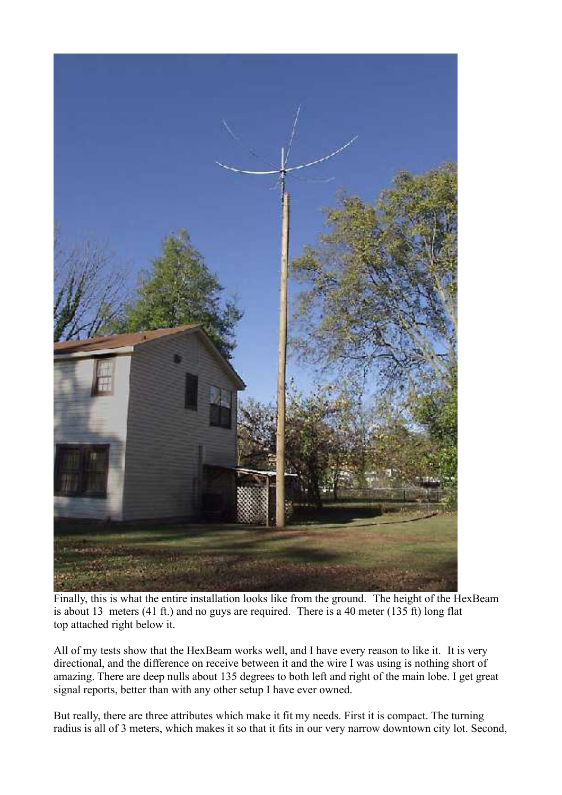

Finally, this is what the entire installation looks like from the ground. The height of the HexBeam is about 13 meters (41 ft.) and no guys are required. There is a 40 meter (135 ft) long flat top attached right below it.

All of my tests show that the HexBeam works well, and I have every reason to like it. It is very directional, and the difference on receive between it and the wire I was using is nothing short of amazing. There are deep nulls about 135 degrees to both left and right of the main lobe. I get great signal reports, better than with any other setup I have ever owned.

But really, there are three attributes which make it fit my needs. First it is compact. The turning radius is all of 3 meters, which makes it so that it fits in our very narrow downtown city lot. Second,